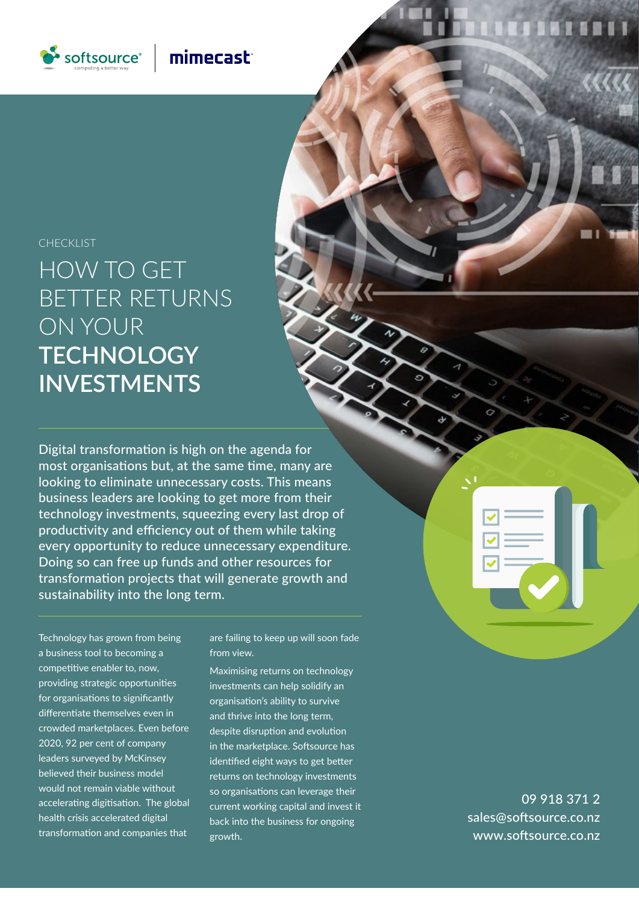

# mimecast

## CHECKLIST

HOW TO GET BETTER RETURNS ON YOUR **TECHNOLOGY INVESTMENTS**

Digital transformation is high on the agenda for most organisations but, at the same time, many are looking to eliminate unnecessary costs. This means business leaders are looking to get more from their technology investments, squeezing every last drop of productivity and efficiency out of them while taking every opportunity to reduce unnecessary expenditure. Doing so can free up funds and other resources for transformation projects that will generate growth and sustainability into the long term.

Technology has grown from being a business tool to becoming a competitive enabler to, now, providing strategic opportunities for organisations to significantly differentiate themselves even in crowded marketplaces. Even before 2020, 92 per cent of company leaders surveyed by McKinsey believed their business model would not remain viable without accelerating digitisation. The global health crisis accelerated digital transformation and companies that

are failing to keep up will soon fade from view.

Maximising returns on technology investments can help solidify an organisation's ability to survive and thrive into the long term, despite disruption and evolution in the marketplace. Softsource has identified eight ways to get better returns on technology investments so organisations can leverage their current working capital and invest it back into the business for ongoing growth.

09 918 371 2 sales@softsource.co.nz www.softsource.co.nz